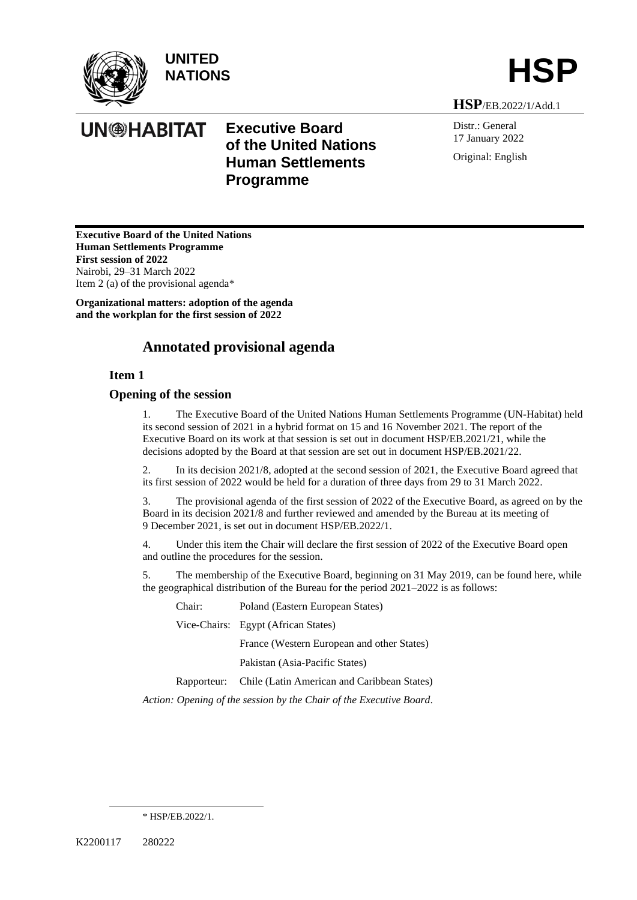

**UN<sup>@HABITAT</mark>**</sup>



**HSP**/EB.2022/1/Add.1

Distr.: General 17 January 2022 Original: English

**Executive Board of the United Nations Human Settlements Programme First session of 2022** Nairobi, 29–31 March 2022 Item 2 (a) of the provisional agenda\*

**Organizational matters: adoption of the agenda and the workplan for the first session of 2022**

# **Annotated provisional agenda**

**Executive Board** 

**Programme**

**of the United Nations Human Settlements** 

# **Item 1**

# **Opening of the session**

1. The Executive Board of the United Nations Human Settlements Programme (UN-Habitat) held its second session of 2021 in a hybrid format on 15 and 16 November 2021. The report of the Executive Board on its work at that session is set out in document HSP/EB.2021/21, while the decisions adopted by the Board at that session are set out in document HSP/EB.2021/22.

2. In its decision 2021/8, adopted at the second session of 2021, the Executive Board agreed that its first session of 2022 would be held for a duration of three days from 29 to 31 March 2022.

3. Th[e provisional agenda](https://unhabitat.org/sites/default/files/2020/08/hsp-eb-2020-19_-_provisional_agenda.pdf) of the first session of 2022 of the Executive Board, as agreed on by the Board in its decision 2021/8 and further reviewed and amended by the Bureau at its meeting of 9 December 2021, is set out in document HSP/EB.2022/1.

4. Under this item the Chair will declare the first session of 2022 of the Executive Board open and outline the procedures for the session.

5. The membership of the Executive Board, beginning on 31 May 2019, can be foun[d here,](https://unhabitat.org/sites/default/files/2021/08/1-membership_of_the_executive_board_un-habitat_assembly.pdf) while the geographical distribution of the Bureau for the period 2021–2022 is as follows:

Chair: Poland (Eastern European States)

Vice-Chairs: Egypt (African States)

France (Western European and other States)

Pakistan (Asia-Pacific States)

Rapporteur: Chile (Latin American and Caribbean States)

*Action: Opening of the session by the Chair of the Executive Board.*

<sup>\*</sup> HSP/EB.2022/1.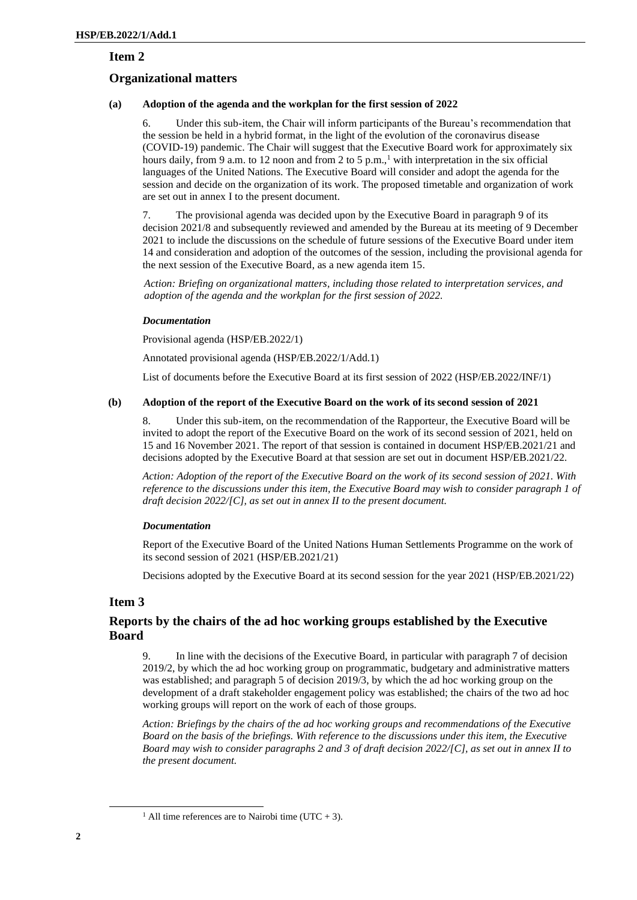# **Organizational matters**

# **(a) Adoption of the agenda and the workplan for the first session of 2022**

6. Under this sub-item, the Chair will inform participants of the Bureau's recommendation that the session be held in a hybrid format, in the light of the evolution of the coronavirus disease (COVID-19) pandemic. The Chair will suggest that the Executive Board work for approximately six hours daily, from 9 a.m. to 12 noon and from 2 to 5 p.m.,<sup>1</sup> with interpretation in the six official languages of the United Nations. The Executive Board will consider and adopt the agenda for the session and decide on the organization of its work. The proposed timetable and organization of work are set out in annex I to the present document.

7. The provisional agenda was decided upon by the Executive Board in paragraph 9 of its decision 2021/8 and subsequently reviewed and amended by the Bureau at its meeting of 9 December 2021 to include the discussions on the schedule of future sessions of the Executive Board under item 14 and consideration and adoption of the outcomes of the session, including the provisional agenda for the next session of the Executive Board, as a new agenda item 15.

*Action: Briefing on organizational matters, including those related to interpretation services, and adoption of the agenda and the workplan for the first session of 2022.*

# *Documentation*

Provisional agenda (HSP/EB.2022/1)

Annotated provisional agenda (HSP/EB.2022/1/Add.1)

List of documents before the Executive Board at its first session of 2022 (HSP/EB.2022/INF/1)

# **(b) Adoption of the report of the Executive Board on the work of its second session of 2021**

8. Under this sub-item, on the recommendation of the Rapporteur, the Executive Board will be invited to adopt the report of the Executive Board on the work of its second session of 2021, held on 15 and 16 November 2021. The report of that session is contained in document HSP/EB.2021/21 and decisions adopted by the Executive Board at that session are set out in document HSP/EB.2021/22.

*Action: Adoption of the report of the Executive Board on the work of its second session of 2021. With reference to the discussions under this item, the Executive Board may wish to consider paragraph 1 of draft decision 2022/[C], as set out in annex II to the present document.*

# *Documentation*

Report of the Executive Board of the United Nations Human Settlements Programme on the work of its second session of 2021 (HSP/EB.2021/21)

Decisions adopted by the Executive Board at its second session for the year 2021 (HSP/EB.2021/22)

# **Item 3**

# **Reports by the chairs of the ad hoc working groups established by the Executive Board**

9. In line with the decisions of the Executive Board, in particular with paragraph 7 of decision 2019/2, by which the ad hoc working group on programmatic, budgetary and administrative matters was established; and paragraph 5 of decision 2019/3, by which the ad hoc working group on the development of a draft stakeholder engagement policy was established; the chairs of the two ad hoc working groups will report on the work of each of those groups.

*Action: Briefings by the chairs of the ad hoc working groups and recommendations of the Executive Board on the basis of the briefings. With reference to the discussions under this item, the Executive Board may wish to consider paragraphs 2 and 3 of draft decision 2022/[C], as set out in annex II to the present document.*

<sup>&</sup>lt;sup>1</sup> All time references are to Nairobi time (UTC + 3).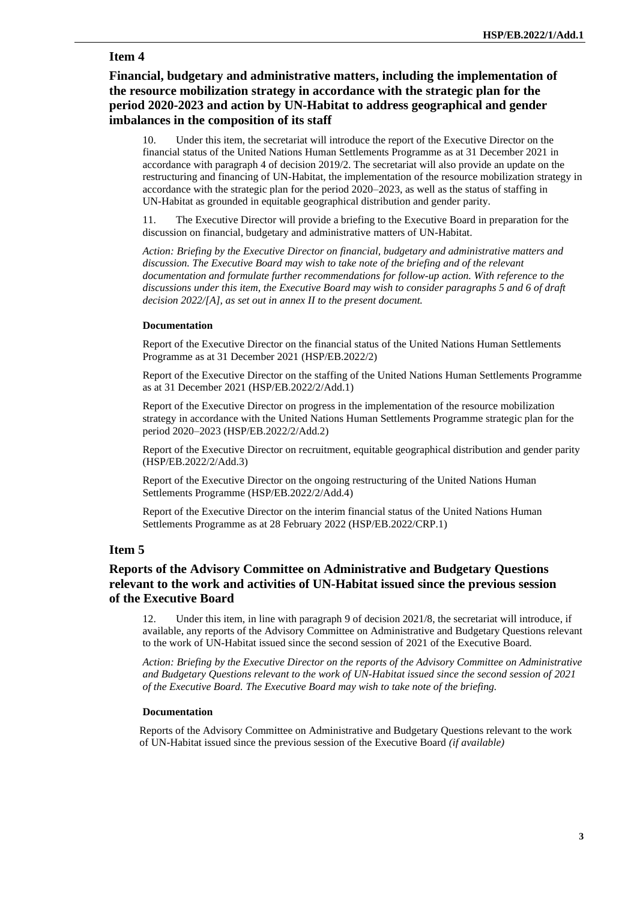# **Financial, budgetary and administrative matters, including the implementation of the resource mobilization strategy in accordance with the strategic plan for the period 2020-2023 and action by UN-Habitat to address geographical and gender imbalances in the composition of its staff**

10. Under this item, the secretariat will introduce the report of the Executive Director on the financial status of the United Nations Human Settlements Programme as at 31 December 2021 in accordance with paragraph 4 of decision 2019/2. The secretariat will also provide an update on the restructuring and financing of UN-Habitat, the implementation of the resource mobilization strategy in accordance with the strategic plan for the period 2020–2023, as well as the status of staffing in UN-Habitat as grounded in equitable geographical distribution and gender parity.

11. The Executive Director will provide a briefing to the Executive Board in preparation for the discussion on financial, budgetary and administrative matters of UN-Habitat.

*Action: Briefing by the Executive Director on financial, budgetary and administrative matters and discussion. The Executive Board may wish to take note of the briefing and of the relevant documentation and formulate further recommendations for follow-up action. With reference to the discussions under this item, the Executive Board may wish to consider paragraphs 5 and 6 of draft decision 2022/[A], as set out in annex II to the present document.*

#### **Documentation**

Report of the Executive Director on the financial status of the United Nations Human Settlements Programme as at 31 December 2021 (HSP/EB.2022/2)

Report of the Executive Director on the staffing of the United Nations Human Settlements Programme as at 31 December 2021 (HSP/EB.2022/2/Add.1)

Report of the Executive Director on progress in the implementation of the resource mobilization strategy in accordance with the United Nations Human Settlements Programme strategic plan for the period 2020–2023 (HSP/EB.2022/2/Add.2)

Report of the Executive Director on recruitment, equitable geographical distribution and gender parity (HSP/EB.2022/2/Add.3)

Report of the Executive Director on the ongoing restructuring of the United Nations Human Settlements Programme (HSP/EB.2022/2/Add.4)

Report of the Executive Director on the interim financial status of the United Nations Human Settlements Programme as at 28 February 2022 (HSP/EB.2022/CRP.1)

# **Item 5**

# **Reports of the Advisory Committee on Administrative and Budgetary Questions relevant to the work and activities of UN-Habitat issued since the previous session of the Executive Board**

12. Under this item, in line with paragraph 9 of decision 2021/8, the secretariat will introduce, if available, any reports of the Advisory Committee on Administrative and Budgetary Questions relevant to the work of UN-Habitat issued since the second session of 2021 of the Executive Board.

*Action: Briefing by the Executive Director on the reports of the Advisory Committee on Administrative and Budgetary Questions relevant to the work of UN-Habitat issued since the second session of 2021 of the Executive Board. The Executive Board may wish to take note of the briefing.*

#### **Documentation**

Reports of the Advisory Committee on Administrative and Budgetary Questions relevant to the work of UN-Habitat issued since the previous session of the Executive Board *(if available)*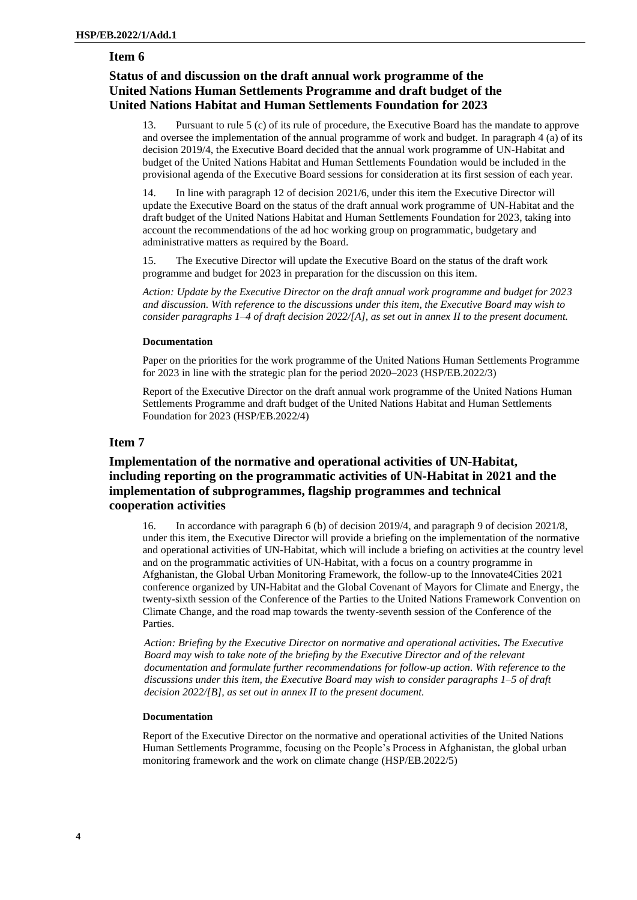# **Status of and discussion on the draft annual work programme of the United Nations Human Settlements Programme and draft budget of the United Nations Habitat and Human Settlements Foundation for 2023**

13. Pursuant to rule 5 (c) of its rule of procedure, the Executive Board has the mandate to approve and oversee the implementation of the annual programme of work and budget. In paragraph 4 (a) of its decision 2019/4, the Executive Board decided that the annual work programme of UN-Habitat and budget of the United Nations Habitat and Human Settlements Foundation would be included in the provisional agenda of the Executive Board sessions for consideration at its first session of each year.

14. In line with paragraph 12 of decision 2021/6, under this item the Executive Director will update the Executive Board on the status of the draft annual work programme of UN-Habitat and the draft budget of the United Nations Habitat and Human Settlements Foundation for 2023, taking into account the recommendations of the ad hoc working group on programmatic, budgetary and administrative matters as required by the Board.

15. The Executive Director will update the Executive Board on the status of the draft work programme and budget for 2023 in preparation for the discussion on this item.

*Action: Update by the Executive Director on the draft annual work programme and budget for 2023 and discussion. With reference to the discussions under this item, the Executive Board may wish to consider paragraphs 1–4 of draft decision 2022/[A], as set out in annex II to the present document.*

#### **Documentation**

Paper on the priorities for the work programme of the United Nations Human Settlements Programme for 2023 in line with the strategic plan for the period 2020–2023 (HSP/EB.2022/3)

Report of the Executive Director on the draft annual work programme of the United Nations Human Settlements Programme and draft budget of the United Nations Habitat and Human Settlements Foundation for 2023 (HSP/EB.2022/4)

# **Item 7**

# **Implementation of the normative and operational activities of UN-Habitat, including reporting on the programmatic activities of UN-Habitat in 2021 and the implementation of subprogrammes, flagship programmes and technical cooperation activities**

16. In accordance with paragraph 6 (b) of decision 2019/4, and paragraph 9 of decision 2021/8, under this item, the Executive Director will provide a briefing on the implementation of the normative and operational activities of UN-Habitat, which will include a briefing on activities at the country level and on the programmatic activities of UN-Habitat, with a focus on a country programme in Afghanistan, the Global Urban Monitoring Framework, the follow-up to the Innovate4Cities 2021 conference organized by UN-Habitat and the Global Covenant of Mayors for Climate and Energy, the twenty-sixth session of the Conference of the Parties to the United Nations Framework Convention on Climate Change, and the road map towards the twenty-seventh session of the Conference of the Parties.

*Action: Briefing by the Executive Director on normative and operational activities. The Executive Board may wish to take note of the briefing by the Executive Director and of the relevant documentation and formulate further recommendations for follow-up action. With reference to the discussions under this item, the Executive Board may wish to consider paragraphs 1–5 of draft decision 2022/[B], as set out in annex II to the present document.*

#### **Documentation**

Report of the Executive Director on the normative and operational activities of the United Nations Human Settlements Programme, focusing on the People's Process in Afghanistan, the global urban monitoring framework and the work on climate change (HSP/EB.2022/5)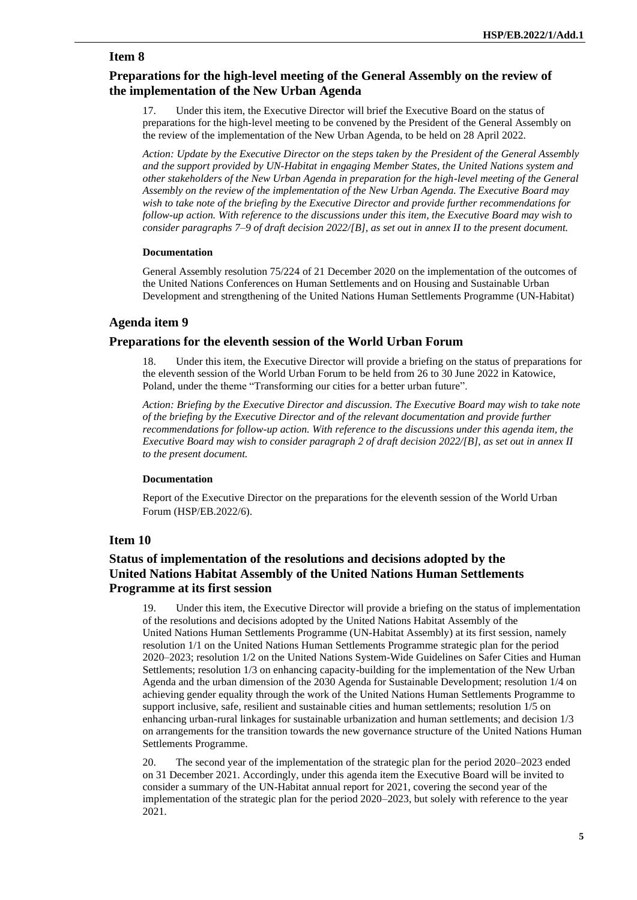# **Preparations for the high-level meeting of the General Assembly on the review of the implementation of the New Urban Agenda**

17. Under this item, the Executive Director will brief the Executive Board on the status of preparations for the high-level meeting to be convened by the President of the General Assembly on the review of the implementation of the New Urban Agenda, to be held on 28 April 2022.

*Action: Update by the Executive Director on the steps taken by the President of the General Assembly and the support provided by UN-Habitat in engaging Member States, the United Nations system and other stakeholders of the New Urban Agenda in preparation for the high-level meeting of the General Assembly on the review of the implementation of the New Urban Agenda. The Executive Board may wish to take note of the briefing by the Executive Director and provide further recommendations for follow-up action. With reference to the discussions under this item, the Executive Board may wish to consider paragraphs 7–9 of draft decision 2022/[B], as set out in annex II to the present document.*

#### **Documentation**

General Assembly resolution 75/224 of 21 December 2020 on the implementation of the outcomes of the United Nations Conferences on Human Settlements and on Housing and Sustainable Urban Development and strengthening of the United Nations Human Settlements Programme (UN-Habitat)

# **Agenda item 9**

# **Preparations for the eleventh session of the World Urban Forum**

18. Under this item, the Executive Director will provide a briefing on the status of preparations for the eleventh session of the World Urban Forum to be held from 26 to 30 June 2022 in Katowice, Poland, under the theme ["Transforming our cities for a better urban future"](https://unhabitat.org/next-year%E2%80%99s-world-urban-forum-in-katowice-poland-to-focus-on-the-future-of-cities).

*Action: Briefing by the Executive Director and discussion. The Executive Board may wish to take note of the briefing by the Executive Director and of the relevant documentation and provide further recommendations for follow-up action. With reference to the discussions under this agenda item, the Executive Board may wish to consider paragraph 2 of draft decision 2022/[B], as set out in annex II to the present document.*

#### **Documentation**

Report of the Executive Director on the preparations for the eleventh session of the World Urban Forum (HSP/EB.2022/6).

### **Item 10**

# **Status of implementation of the resolutions and decisions adopted by the United Nations Habitat Assembly of the United Nations Human Settlements Programme at its first session**

19. Under this item, the Executive Director will provide a briefing on the status of implementation of the resolutions and decisions adopted by the United Nations Habitat Assembly of the United Nations Human Settlements Programme (UN-Habitat Assembly) at its first session, namely resolution 1/1 on the United Nations Human Settlements Programme strategic plan for the period 2020–2023; resolution 1/2 on the United Nations System-Wide Guidelines on Safer Cities and Human Settlements; resolution 1/3 on enhancing capacity-building for the implementation of the New Urban Agenda and the urban dimension of the 2030 Agenda for Sustainable Development; resolution 1/4 on achieving gender equality through the work of the United Nations Human Settlements Programme to support inclusive, safe, resilient and sustainable cities and human settlements; resolution 1/5 on enhancing urban-rural linkages for sustainable urbanization and human settlements; and decision 1/3 on arrangements for the transition towards the new governance structure of the United Nations Human Settlements Programme.

20. The second year of the implementation of the strategic plan for the period 2020–2023 ended on 31 December 2021. Accordingly, under this agenda item the Executive Board will be invited to consider a summary of the UN-Habitat annual report for 2021, covering the second year of the implementation of the strategic plan for the period 2020–2023, but solely with reference to the year 2021.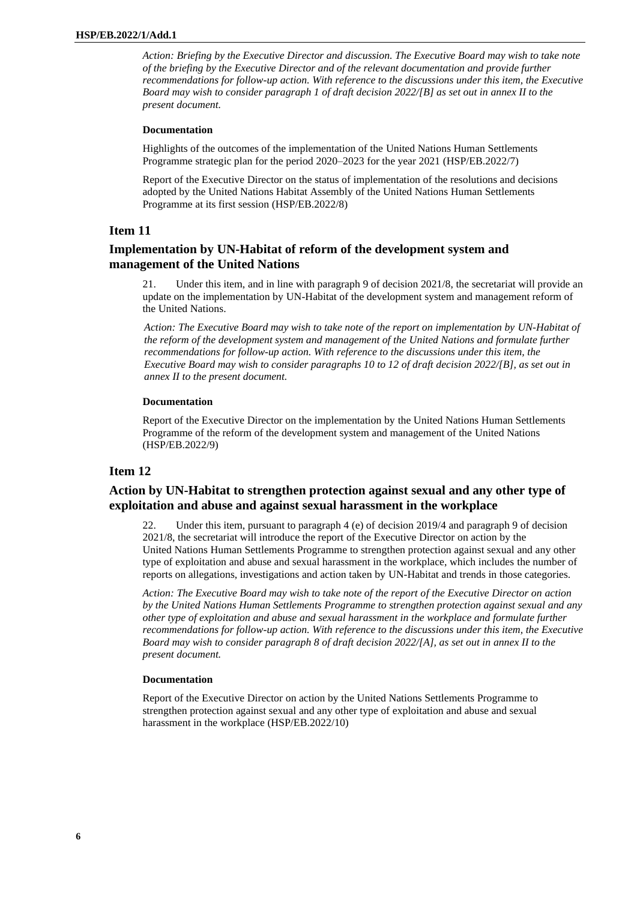*Action: Briefing by the Executive Director and discussion. The Executive Board may wish to take note of the briefing by the Executive Director and of the relevant documentation and provide further recommendations for follow-up action. With reference to the discussions under this item, the Executive Board may wish to consider paragraph 1 of draft decision 2022/[B] as set out in annex II to the present document.*

#### **Documentation**

Highlights of the outcomes of the implementation of the United Nations Human Settlements Programme strategic plan for the period 2020–2023 for the year 2021 (HSP/EB.2022/7)

Report of the Executive Director on the status of implementation of the resolutions and decisions adopted by the United Nations Habitat Assembly of the United Nations Human Settlements Programme at its first session (HSP/EB.2022/8)

# **Item 11**

# **Implementation by UN-Habitat of reform of the development system and management of the United Nations**

21. Under this item, and in line with paragraph 9 of decision 2021/8, the secretariat will provide an update on the implementation by UN-Habitat of the development system and management reform of the United Nations.

*Action: The Executive Board may wish to take note of the report on implementation by UN-Habitat of the reform of the development system and management of the United Nations and formulate further recommendations for follow-up action. With reference to the discussions under this item, the Executive Board may wish to consider paragraphs 10 to 12 of draft decision 2022/[B], as set out in annex II to the present document.*

#### **Documentation**

Report of the Executive Director on the implementation by the United Nations Human Settlements Programme of the reform of the development system and management of the United Nations (HSP/EB.2022/9)

# **Item 12**

# **Action by UN-Habitat to strengthen protection against sexual and any other type of exploitation and abuse and against sexual harassment in the workplace**

22. Under this item, pursuant to paragraph 4 (e) of decision 2019/4 and paragraph 9 of decision 2021/8, the secretariat will introduce the report of the Executive Director on action by the United Nations Human Settlements Programme to strengthen protection against sexual and any other type of exploitation and abuse and sexual harassment in the workplace, which includes the number of reports on allegations, investigations and action taken by UN-Habitat and trends in those categories.

*Action: The Executive Board may wish to take note of the report of the Executive Director on action by the United Nations Human Settlements Programme to strengthen protection against sexual and any other type of exploitation and abuse and sexual harassment in the workplace and formulate further recommendations for follow-up action. With reference to the discussions under this item, the Executive Board may wish to consider paragraph 8 of draft decision 2022/[A], as set out in annex II to the present document.*

#### **Documentation**

Report of the Executive Director on action by the United Nations Settlements Programme to strengthen protection against sexual and any other type of exploitation and abuse and sexual harassment in the workplace (HSP/EB.2022/10)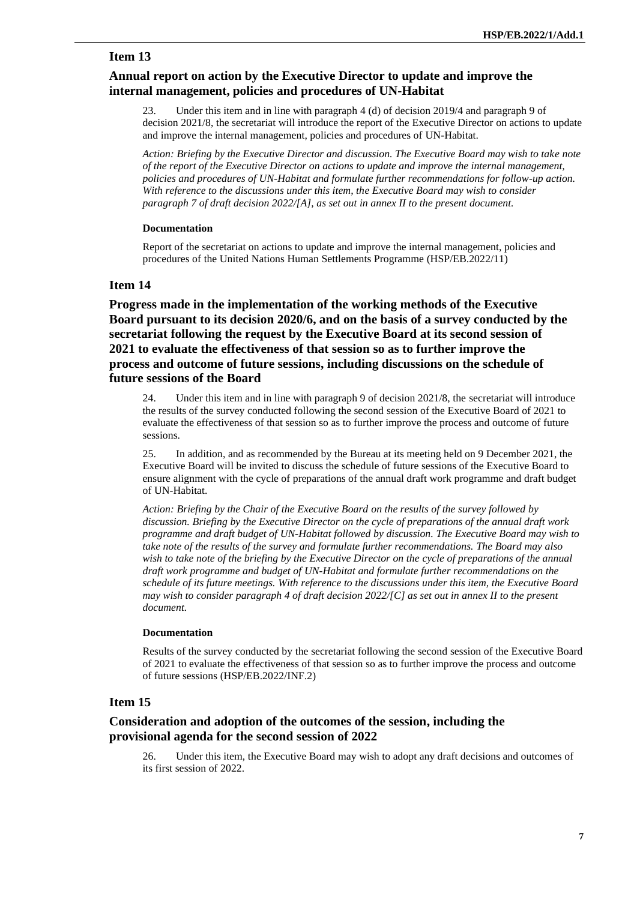# **Annual report on action by the Executive Director to update and improve the internal management, policies and procedures of UN-Habitat**

23. Under this item and in line with paragraph 4 (d) of decision 2019/4 and paragraph 9 of decision 2021/8, the secretariat will introduce the report of the Executive Director on actions to update and improve the internal management, policies and procedures of UN-Habitat.

*Action: Briefing by the Executive Director and discussion. The Executive Board may wish to take note of the report of the Executive Director on actions to update and improve the internal management, policies and procedures of UN-Habitat and formulate further recommendations for follow-up action. With reference to the discussions under this item, the Executive Board may wish to consider paragraph 7 of draft decision 2022/[A], as set out in annex II to the present document.*

#### **Documentation**

Report of the secretariat on actions to update and improve the internal management, policies and procedures of the United Nations Human Settlements Programme (HSP/EB.2022/11)

#### **Item 14**

**Progress made in the implementation of the working methods of the Executive Board pursuant to its decision 2020/6, and on the basis of a survey conducted by the secretariat following the request by the Executive Board at its second session of 2021 to evaluate the effectiveness of that session so as to further improve the process and outcome of future sessions, including discussions on the schedule of future sessions of the Board**

24. Under this item and in line with paragraph 9 of decision 2021/8, the secretariat will introduce the results of the survey conducted following the second session of the Executive Board of 2021 to evaluate the effectiveness of that session so as to further improve the process and outcome of future sessions.

25. In addition, and as recommended by the Bureau at its meeting held on 9 December 2021, the Executive Board will be invited to discuss the schedule of future sessions of the Executive Board to ensure alignment with the cycle of preparations of the annual draft work programme and draft budget of UN-Habitat.

*Action: Briefing by the Chair of the Executive Board on the results of the survey followed by discussion. Briefing by the Executive Director on the cycle of preparations of the annual draft work programme and draft budget of UN-Habitat followed by discussion. The Executive Board may wish to take note of the results of the survey and formulate further recommendations. The Board may also wish to take note of the briefing by the Executive Director on the cycle of preparations of the annual draft work programme and budget of UN-Habitat and formulate further recommendations on the schedule of its future meetings. With reference to the discussions under this item, the Executive Board may wish to consider paragraph 4 of draft decision 2022/[C] as set out in annex II to the present document.*

#### **Documentation**

Results of the survey conducted by the secretariat following the second session of the Executive Board of 2021 to evaluate the effectiveness of that session so as to further improve the process and outcome of future sessions (HSP/EB.2022/INF.2)

# **Item 15**

# **Consideration and adoption of the outcomes of the session, including the provisional agenda for the second session of 2022**

Under this item, the Executive Board may wish to adopt any draft decisions and outcomes of its first session of 2022.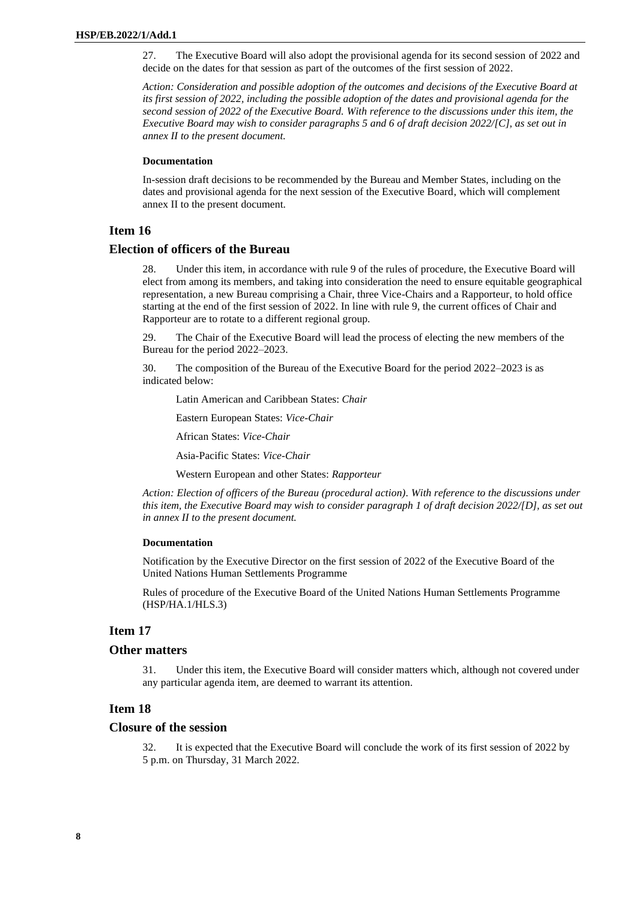27. The Executive Board will also adopt the provisional agenda for its second session of 2022 and decide on the dates for that session as part of the outcomes of the first session of 2022.

*Action: Consideration and possible adoption of the outcomes and decisions of the Executive Board at its first session of 2022, including the possible adoption of the dates and provisional agenda for the second session of 2022 of the Executive Board. With reference to the discussions under this item, the Executive Board may wish to consider paragraphs 5 and 6 of draft decision 2022/[C], as set out in annex II to the present document.*

#### **Documentation**

In-session draft decisions to be recommended by the Bureau and Member States, including on the dates and provisional agenda for the next session of the Executive Board, which will complement annex II to the present document.

# **Item 16**

#### **Election of officers of the Bureau**

Under this item, in accordance with rule 9 of the rules of procedure, the Executive Board will elect from among its members, and taking into consideration the need to ensure equitable geographical representation, a new Bureau comprising a Chair, three Vice-Chairs and a Rapporteur, to hold office starting at the end of the first session of 2022. In line with rule 9, the current offices of Chair and Rapporteur are to rotate to a different regional group.

29. The Chair of the Executive Board will lead the process of electing the new members of the Bureau for the period 2022–2023.

30. The composition of the Bureau of the Executive Board for the period 2022–2023 is as indicated below:

Latin American and Caribbean States: *Chair*

Eastern European States: *Vice-Chair*

African States: *Vice-Chair*

Asia-Pacific States: *Vice-Chair*

Western European and other States: *Rapporteur*

*Action: Election of officers of the Bureau (procedural action). With reference to the discussions under this item, the Executive Board may wish to consider paragraph 1 of draft decision 2022/[D], as set out in annex II to the present document.*

#### **Documentation**

Notification by the Executive Director on the first session of 2022 of the Executive Board of the United Nations Human Settlements Programme

Rules of procedure of the Executive Board of the United Nations Human Settlements Programme (HSP/HA.1/HLS.3)

# **Item 17**

#### **Other matters**

31. Under this item, the Executive Board will consider matters which, although not covered under any particular agenda item, are deemed to warrant its attention.

#### **Item 18**

#### **Closure of the session**

32. It is expected that the Executive Board will conclude the work of its first session of 2022 by 5 p.m. on Thursday, 31 March 2022.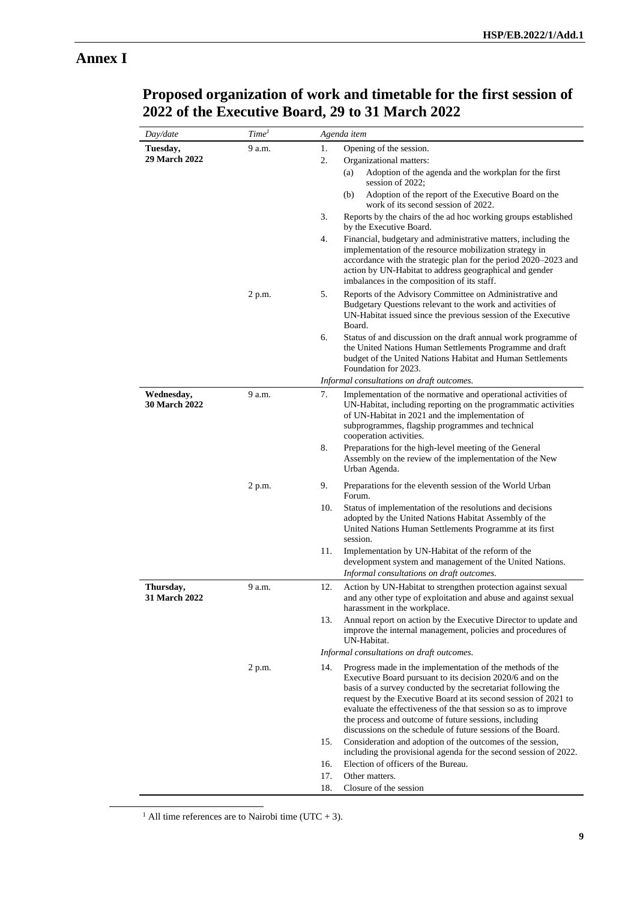# **Annex I**

| Day/date                    | Time <sup>1</sup> | Agenda item                                                                                                                                                                                                                                                                                                                                                                                                                                                   |
|-----------------------------|-------------------|---------------------------------------------------------------------------------------------------------------------------------------------------------------------------------------------------------------------------------------------------------------------------------------------------------------------------------------------------------------------------------------------------------------------------------------------------------------|
| Tuesday,                    | 9 a.m.            | 1.<br>Opening of the session.                                                                                                                                                                                                                                                                                                                                                                                                                                 |
| 29 March 2022               |                   | 2.<br>Organizational matters:                                                                                                                                                                                                                                                                                                                                                                                                                                 |
|                             |                   | Adoption of the agenda and the workplan for the first<br>(a)<br>session of 2022;                                                                                                                                                                                                                                                                                                                                                                              |
|                             |                   | Adoption of the report of the Executive Board on the<br>(b)<br>work of its second session of 2022.                                                                                                                                                                                                                                                                                                                                                            |
|                             |                   | 3.<br>Reports by the chairs of the ad hoc working groups established<br>by the Executive Board.                                                                                                                                                                                                                                                                                                                                                               |
|                             |                   | 4.<br>Financial, budgetary and administrative matters, including the<br>implementation of the resource mobilization strategy in<br>accordance with the strategic plan for the period 2020–2023 and<br>action by UN-Habitat to address geographical and gender<br>imbalances in the composition of its staff.                                                                                                                                                  |
|                             | 2 p.m.            | 5.<br>Reports of the Advisory Committee on Administrative and<br>Budgetary Questions relevant to the work and activities of<br>UN-Habitat issued since the previous session of the Executive<br>Board.                                                                                                                                                                                                                                                        |
|                             |                   | 6.<br>Status of and discussion on the draft annual work programme of<br>the United Nations Human Settlements Programme and draft<br>budget of the United Nations Habitat and Human Settlements<br>Foundation for 2023.                                                                                                                                                                                                                                        |
|                             |                   | Informal consultations on draft outcomes.                                                                                                                                                                                                                                                                                                                                                                                                                     |
| Wednesday,<br>30 March 2022 | 9 a.m.            | 7.<br>Implementation of the normative and operational activities of<br>UN-Habitat, including reporting on the programmatic activities<br>of UN-Habitat in 2021 and the implementation of<br>subprogrammes, flagship programmes and technical<br>cooperation activities.                                                                                                                                                                                       |
|                             |                   | 8.<br>Preparations for the high-level meeting of the General<br>Assembly on the review of the implementation of the New<br>Urban Agenda.                                                                                                                                                                                                                                                                                                                      |
|                             | 2 p.m.            | 9.<br>Preparations for the eleventh session of the World Urban<br>Forum.                                                                                                                                                                                                                                                                                                                                                                                      |
|                             |                   | 10.<br>Status of implementation of the resolutions and decisions<br>adopted by the United Nations Habitat Assembly of the<br>United Nations Human Settlements Programme at its first<br>session.                                                                                                                                                                                                                                                              |
|                             |                   | Implementation by UN-Habitat of the reform of the<br>11.<br>development system and management of the United Nations.<br>Informal consultations on draft outcomes.                                                                                                                                                                                                                                                                                             |
| Thursday,<br>31 March 2022  | 9 a.m.            | 12.<br>Action by UN-Habitat to strengthen protection against sexual<br>and any other type of exploitation and abuse and against sexual<br>harassment in the workplace.                                                                                                                                                                                                                                                                                        |
|                             |                   | 13.<br>Annual report on action by the Executive Director to update and<br>improve the internal management, policies and procedures of<br>UN-Habitat.                                                                                                                                                                                                                                                                                                          |
|                             |                   | Informal consultations on draft outcomes.                                                                                                                                                                                                                                                                                                                                                                                                                     |
|                             | 2 p.m.            | Progress made in the implementation of the methods of the<br>14.<br>Executive Board pursuant to its decision 2020/6 and on the<br>basis of a survey conducted by the secretariat following the<br>request by the Executive Board at its second session of 2021 to<br>evaluate the effectiveness of the that session so as to improve<br>the process and outcome of future sessions, including<br>discussions on the schedule of future sessions of the Board. |
|                             |                   | 15.<br>Consideration and adoption of the outcomes of the session,<br>including the provisional agenda for the second session of 2022.                                                                                                                                                                                                                                                                                                                         |
|                             |                   | Election of officers of the Bureau.<br>16.                                                                                                                                                                                                                                                                                                                                                                                                                    |
|                             |                   | 17.<br>Other matters.                                                                                                                                                                                                                                                                                                                                                                                                                                         |
|                             |                   | 18.<br>Closure of the session                                                                                                                                                                                                                                                                                                                                                                                                                                 |

# **Proposed organization of work and timetable for the first session of 2022 of the Executive Board, 29 to 31 March 2022**

<sup>1</sup> All time references are to Nairobi time (UTC + 3).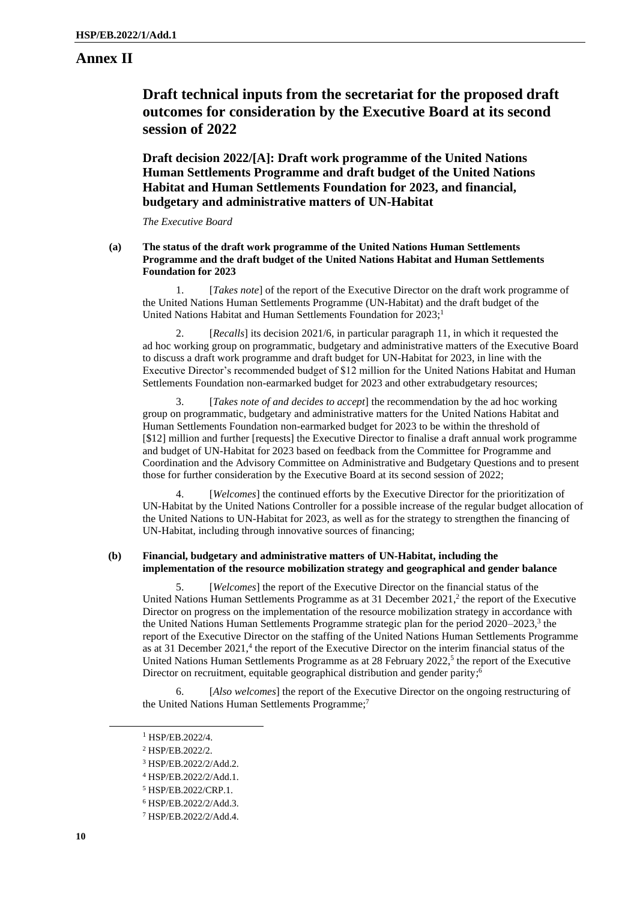# **Annex II**

# **Draft technical inputs from the secretariat for the proposed draft outcomes for consideration by the Executive Board at its second session of 2022**

**Draft decision 2022/[A]: Draft work programme of the United Nations Human Settlements Programme and draft budget of the United Nations Habitat and Human Settlements Foundation for 2023, and financial, budgetary and administrative matters of UN-Habitat**

*The Executive Board*

#### **(a) The status of the draft work programme of the United Nations Human Settlements Programme and the draft budget of the United Nations Habitat and Human Settlements Foundation for 2023**

1. [*Takes note*] of the report of the Executive Director on the draft work programme of the United Nations Human Settlements Programme (UN-Habitat) and the draft budget of the United Nations Habitat and Human Settlements Foundation for  $2023$ ;<sup>1</sup>

[*Recalls*] its decision 2021/6, in particular paragraph 11, in which it requested the ad hoc working group on programmatic, budgetary and administrative matters of the Executive Board to discuss a draft work programme and draft budget for UN-Habitat for 2023, in line with the Executive Director's recommended budget of \$12 million for the United Nations Habitat and Human Settlements Foundation non-earmarked budget for 2023 and other extrabudgetary resources;

3. [*Takes note of and decides to accept*] the recommendation by the ad hoc working group on programmatic, budgetary and administrative matters for the United Nations Habitat and Human Settlements Foundation non-earmarked budget for 2023 to be within the threshold of [\$12] million and further [requests] the Executive Director to finalise a draft annual work programme and budget of UN-Habitat for 2023 based on feedback from the Committee for Programme and Coordination and the Advisory Committee on Administrative and Budgetary Questions and to present those for further consideration by the Executive Board at its second session of 2022;

4. [*Welcomes*] the continued efforts by the Executive Director for the prioritization of UN-Habitat by the United Nations Controller for a possible increase of the regular budget allocation of the United Nations to UN-Habitat for 2023, as well as for the strategy to strengthen the financing of UN-Habitat, including through innovative sources of financing;

#### **(b) Financial, budgetary and administrative matters of UN-Habitat, including the implementation of the resource mobilization strategy and geographical and gender balance**

5. [*Welcomes*] the report of the Executive Director on the financial status of the United Nations Human Settlements Programme as at 31 December 2021, 2 the report of the Executive Director on progress on the implementation of the resource mobilization strategy in accordance with the United Nations Human Settlements Programme strategic plan for the period 2020–2023,<sup>3</sup> the report of the Executive Director on the staffing of the United Nations Human Settlements Programme as at 31 December 2021,<sup>4</sup> the report of the Executive Director on the interim financial status of the United Nations Human Settlements Programme as at 28 February 2022,<sup>5</sup> the report of the Executive Director on recruitment, equitable geographical distribution and gender parity;<sup>6</sup>

[Also welcomes] the report of the Executive Director on the ongoing restructuring of the United Nations Human Settlements Programme;<sup>7</sup>

<sup>1</sup> HSP/EB.2022/4.

<sup>2</sup> HSP/EB.2022/2.

<sup>3</sup> HSP/EB.2022/2/Add.2.

<sup>4</sup> HSP/EB.2022/2/Add.1.

<sup>5</sup> HSP/EB.2022/CRP.1.

<sup>6</sup> HSP/EB.2022/2/Add.3.

<sup>7</sup> HSP/EB.2022/2/Add.4.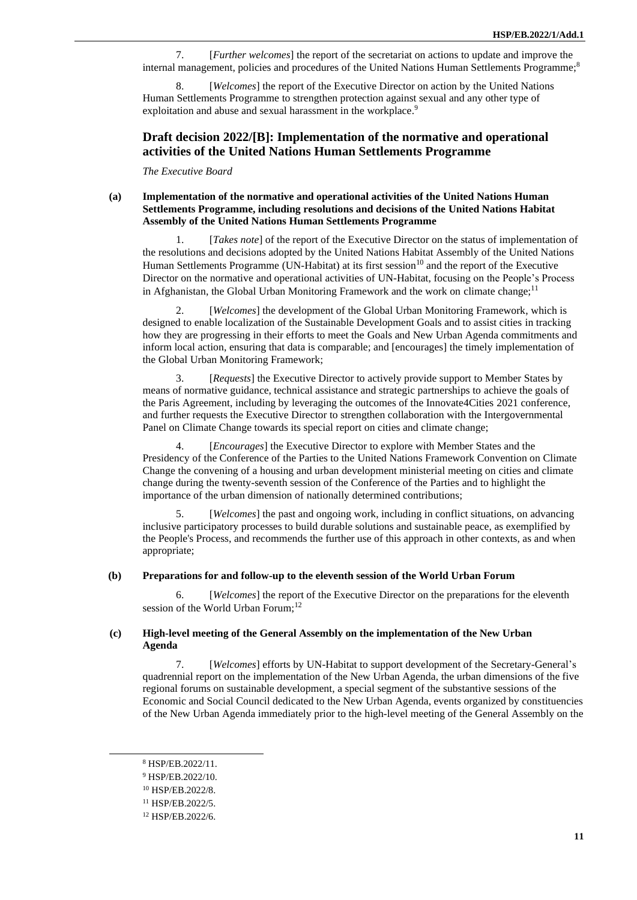7. [*Further welcomes*] the report of the secretariat on actions to update and improve the internal management, policies and procedures of the United Nations Human Settlements Programme;<sup>8</sup>

[*Welcomes*] the report of the Executive Director on action by the United Nations Human Settlements Programme to strengthen protection against sexual and any other type of exploitation and abuse and sexual harassment in the workplace.<sup>9</sup>

# **Draft decision 2022/[B]: Implementation of the normative and operational activities of the United Nations Human Settlements Programme**

*The Executive Board*

#### **(a) Implementation of the normative and operational activities of the United Nations Human Settlements Programme, including resolutions and decisions of the United Nations Habitat Assembly of the United Nations Human Settlements Programme**

1. [*Takes note*] of the report of the Executive Director on the status of implementation of the resolutions and decisions adopted by the United Nations Habitat Assembly of the United Nations Human Settlements Programme (UN-Habitat) at its first session<sup>10</sup> and the report of the Executive Director on the normative and operational activities of UN-Habitat, focusing on the People's Process in Afghanistan, the Global Urban Monitoring Framework and the work on climate change;<sup>11</sup>

2. [*Welcomes*] the development of the Global Urban Monitoring Framework, which is designed to enable localization of the Sustainable Development Goals and to assist cities in tracking how they are progressing in their efforts to meet the Goals and New Urban Agenda commitments and inform local action, ensuring that data is comparable; and [encourages] the timely implementation of the Global Urban Monitoring Framework;

3. [*Requests*] the Executive Director to actively provide support to Member States by means of normative guidance, technical assistance and strategic partnerships to achieve the goals of the Paris Agreement, including by leveraging the outcomes of the Innovate4Cities 2021 conference, and further requests the Executive Director to strengthen collaboration with the Intergovernmental Panel on Climate Change towards its special report on cities and climate change;

4. [*Encourages*] the Executive Director to explore with Member States and the Presidency of the Conference of the Parties to the United Nations Framework Convention on Climate Change the convening of a housing and urban development ministerial meeting on cities and climate change during the twenty-seventh session of the Conference of the Parties and to highlight the importance of the urban dimension of nationally determined contributions;

5. [*Welcomes*] the past and ongoing work, including in conflict situations, on advancing inclusive participatory processes to build durable solutions and sustainable peace, as exemplified by the People's Process, and recommends the further use of this approach in other contexts, as and when appropriate;

#### **(b) Preparations for and follow-up to the eleventh session of the World Urban Forum**

6. [*Welcomes*] the report of the Executive Director on the preparations for the eleventh session of the World Urban Forum;<sup>12</sup>

#### **(c) High-level meeting of the General Assembly on the implementation of the New Urban Agenda**

7. [*Welcomes*] efforts by UN-Habitat to support development of the Secretary-General's quadrennial report on the implementation of the New Urban Agenda, the urban dimensions of the five regional forums on sustainable development, a special segment of the substantive sessions of the Economic and Social Council dedicated to the New Urban Agenda, events organized by constituencies of the New Urban Agenda immediately prior to the high-level meeting of the General Assembly on the

<sup>8</sup> HSP/EB.2022/11.

<sup>9</sup> HSP/EB.2022/10.

<sup>10</sup> HSP/EB.2022/8.

<sup>11</sup> HSP/EB.2022/5.

<sup>12</sup> HSP/EB.2022/6.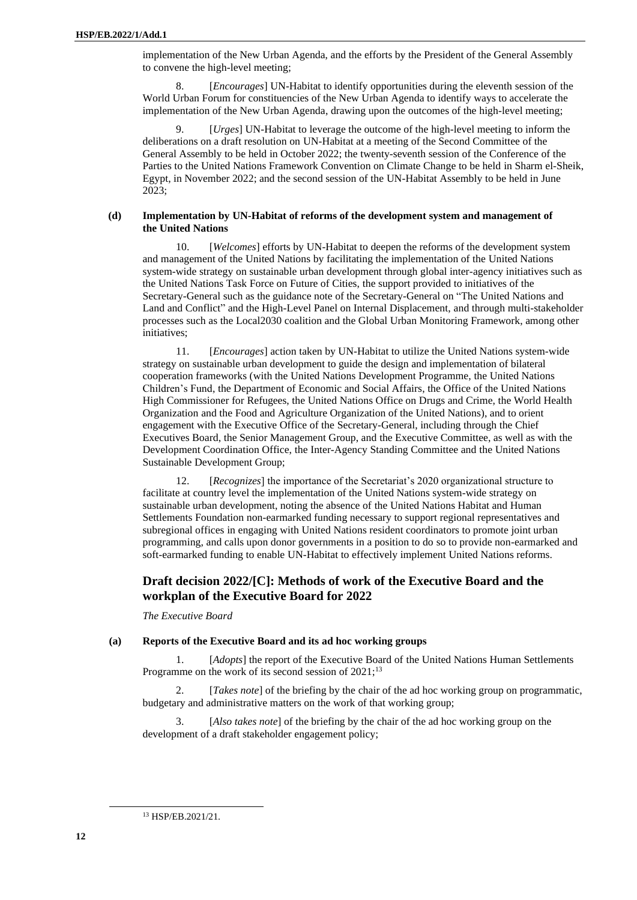implementation of the New Urban Agenda, and the efforts by the President of the General Assembly to convene the high-level meeting;

[*Encourages*] UN-Habitat to identify opportunities during the eleventh session of the World Urban Forum for constituencies of the New Urban Agenda to identify ways to accelerate the implementation of the New Urban Agenda, drawing upon the outcomes of the high-level meeting;

[*Urges*] UN-Habitat to leverage the outcome of the high-level meeting to inform the deliberations on a draft resolution on UN-Habitat at a meeting of the Second Committee of the General Assembly to be held in October 2022; the twenty-seventh session of the Conference of the Parties to the United Nations Framework Convention on Climate Change to be held in Sharm el-Sheik, Egypt, in November 2022; and the second session of the UN-Habitat Assembly to be held in June 2023;

#### **(d) Implementation by UN-Habitat of reforms of the development system and management of the United Nations**

10. [*Welcomes*] efforts by UN-Habitat to deepen the reforms of the development system and management of the United Nations by facilitating the implementation of the United Nations system-wide strategy on sustainable urban development through global inter-agency initiatives such as the United Nations Task Force on Future of Cities, the support provided to initiatives of the Secretary-General such as the guidance note of the Secretary-General on "The United Nations and Land and Conflict" and the High-Level Panel on Internal Displacement, and through multi-stakeholder processes such as the Local2030 coalition and the Global Urban Monitoring Framework, among other initiatives;

11. [*Encourages*] action taken by UN-Habitat to utilize the United Nations system-wide strategy on sustainable urban development to guide the design and implementation of bilateral cooperation frameworks (with the United Nations Development Programme, the United Nations Children's Fund, the Department of Economic and Social Affairs, the Office of the United Nations High Commissioner for Refugees, the United Nations Office on Drugs and Crime, the World Health Organization and the Food and Agriculture Organization of the United Nations), and to orient engagement with the Executive Office of the Secretary-General, including through the Chief Executives Board, the Senior Management Group, and the Executive Committee, as well as with the Development Coordination Office, the Inter-Agency Standing Committee and the United Nations Sustainable Development Group;

12. [*Recognizes*] the importance of the Secretariat's 2020 organizational structure to facilitate at country level the implementation of the United Nations system-wide strategy on sustainable urban development, noting the absence of the United Nations Habitat and Human Settlements Foundation non-earmarked funding necessary to support regional representatives and subregional offices in engaging with United Nations resident coordinators to promote joint urban programming, and calls upon donor governments in a position to do so to provide non-earmarked and soft-earmarked funding to enable UN-Habitat to effectively implement United Nations reforms.

# **Draft decision 2022/[C]: Methods of work of the Executive Board and the workplan of the Executive Board for 2022**

*The Executive Board*

#### **(a) Reports of the Executive Board and its ad hoc working groups**

1. [*Adopts*] the report of the Executive Board of the United Nations Human Settlements Programme on the work of its second session of  $2021$ ;<sup>13</sup>

[*Takes note*] of the briefing by the chair of the ad hoc working group on programmatic, budgetary and administrative matters on the work of that working group;

3. [*Also takes note*] of the briefing by the chair of the ad hoc working group on the development of a draft stakeholder engagement policy;

<sup>13</sup> HSP/EB.2021/21.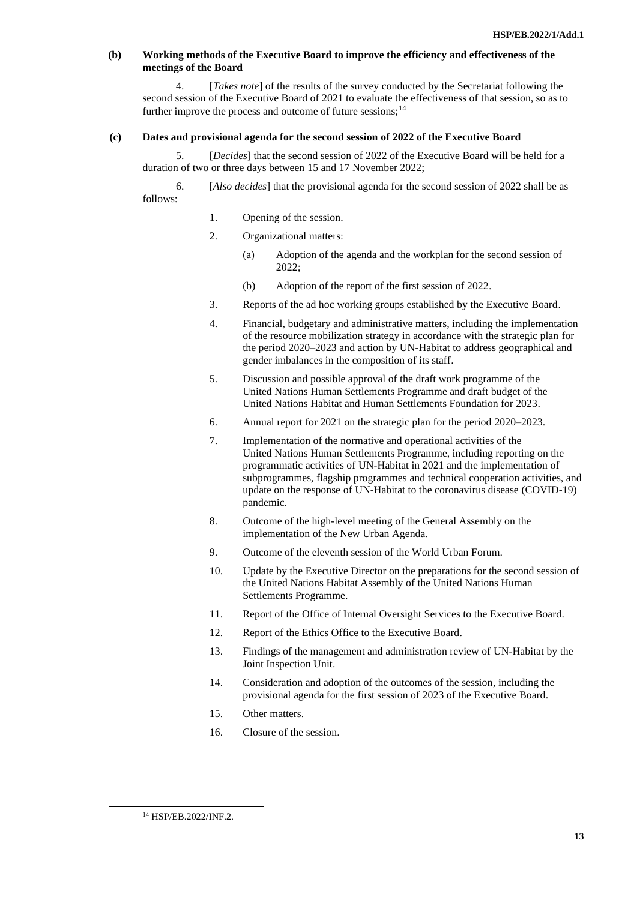#### **(b) Working methods of the Executive Board to improve the efficiency and effectiveness of the meetings of the Board**

4. [*Takes note*] of the results of the survey conducted by the Secretariat following the second session of the Executive Board of 2021 to evaluate the effectiveness of that session, so as to further improve the process and outcome of future sessions;  $14$ 

#### **(c) Dates and provisional agenda for the second session of 2022 of the Executive Board**

5. [*Decides*] that the second session of 2022 of the Executive Board will be held for a duration of two or three days between 15 and 17 November 2022;

6. [*Also decides*] that the provisional agenda for the second session of 2022 shall be as follows:

- 1. Opening of the session.
- 2. Organizational matters:
	- (a) Adoption of the agenda and the workplan for the second session of 2022;
	- (b) Adoption of the report of the first session of 2022.
- 3. Reports of the ad hoc working groups established by the Executive Board.
- 4. Financial, budgetary and administrative matters, including the implementation of the resource mobilization strategy in accordance with the strategic plan for the period 2020–2023 and action by UN-Habitat to address geographical and gender imbalances in the composition of its staff.
- 5. Discussion and possible approval of the draft work programme of the United Nations Human Settlements Programme and draft budget of the United Nations Habitat and Human Settlements Foundation for 2023.
- 6. Annual report for 2021 on the strategic plan for the period 2020–2023.
- 7. Implementation of the normative and operational activities of the United Nations Human Settlements Programme, including reporting on the programmatic activities of UN-Habitat in 2021 and the implementation of subprogrammes, flagship programmes and technical cooperation activities, and update on the response of UN-Habitat to the coronavirus disease (COVID-19) pandemic.
- 8. Outcome of the high-level meeting of the General Assembly on the implementation of the New Urban Agenda.
- 9. Outcome of the eleventh session of the World Urban Forum.
- 10. Update by the Executive Director on the preparations for the second session of the United Nations Habitat Assembly of the United Nations Human Settlements Programme.
- 11. Report of the Office of Internal Oversight Services to the Executive Board.
- 12. Report of the Ethics Office to the Executive Board.
- 13. Findings of the management and administration review of UN-Habitat by the Joint Inspection Unit.
- 14. Consideration and adoption of the outcomes of the session, including the provisional agenda for the first session of 2023 of the Executive Board.
- 15. Other matters.
- 16. Closure of the session.

<sup>14</sup> HSP/EB.2022/INF.2.